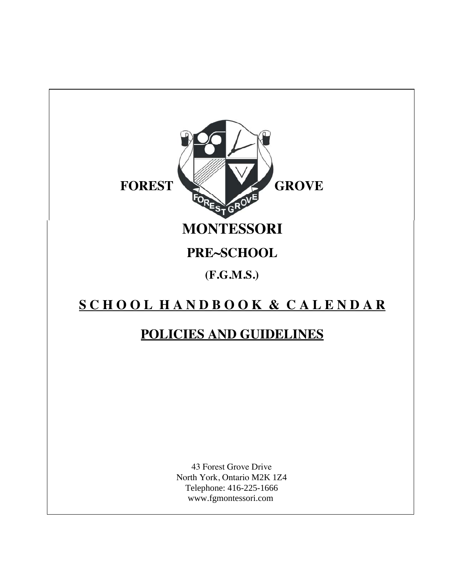

# **S C H O O L H A N D B O O K & C A L E N D A R**

## **POLICIES AND GUIDELINES**

 43 Forest Grove Drive North York, Ontario M2K 1Z4 Telephone: 416-225-1666 www.fgmontessori.com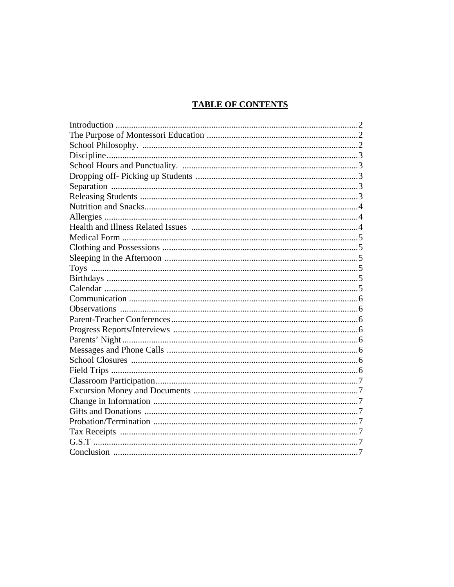## **TABLE OF CONTENTS**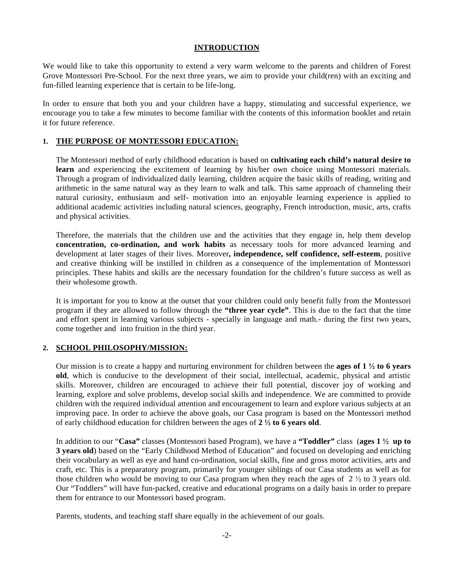#### **INTRODUCTION**

We would like to take this opportunity to extend a very warm welcome to the parents and children of Forest Grove Montessori Pre-School. For the next three years, we aim to provide your child(ren) with an exciting and fun-filled learning experience that is certain to be life-long.

In order to ensure that both you and your children have a happy, stimulating and successful experience, we encourage you to take a few minutes to become familiar with the contents of this information booklet and retain it for future reference.

## **1. THE PURPOSE OF MONTESSORI EDUCATION:**

The Montessori method of early childhood education is based on **cultivating each child's natural desire to learn** and experiencing the excitement of learning by his/her own choice using Montessori materials. Through a program of individualized daily learning, children acquire the basic skills of reading, writing and arithmetic in the same natural way as they learn to walk and talk. This same approach of channeling their natural curiosity, enthusiasm and self- motivation into an enjoyable learning experience is applied to additional academic activities including natural sciences, geography, French introduction, music, arts, crafts and physical activities.

Therefore, the materials that the children use and the activities that they engage in, help them develop **concentration, co-ordination, and work habits** as necessary tools for more advanced learning and development at later stages of their lives. Moreover**, independence, self confidence, self-esteem**, positive and creative thinking will be instilled in children as a consequence of the implementation of Montessori principles. These habits and skills are the necessary foundation for the children's future success as well as their wholesome growth.

It is important for you to know at the outset that your children could only benefit fully from the Montessori program if they are allowed to follow through the **"three year cycle"**. This is due to the fact that the time and effort spent in learning various subjects - specially in language and math.- during the first two years, come together and into fruition in the third year.

## **2. SCHOOL PHILOSOPHY/MISSION:**

Our mission is to create a happy and nurturing environment for children between the **ages of 1** <sup>1</sup>/<sub>2</sub> to 6 years **old**, which is conducive to the development of their social, intellectual, academic, physical and artistic skills. Moreover, children are encouraged to achieve their full potential, discover joy of working and learning, explore and solve problems, develop social skills and independence. We are committed to provide children with the required individual attention and encouragement to learn and explore various subjects at an improving pace. In order to achieve the above goals, our Casa program is based on the Montessori method of early childhood education for children between the ages of **2 to 6 years old**.

In addition to our "**Casa"** classes (Montessori based Program), we have a **"Toddler"** class (**ages 1 up to 3 years old**) based on the "Early Childhood Method of Education" and focused on developing and enriching their vocabulary as well as eye and hand co-ordination, social skills, fine and gross motor activities, arts and craft, etc. This is a preparatory program, primarily for younger siblings of our Casa students as well as for those children who would be moving to our Casa program when they reach the ages of  $2\frac{1}{2}$  to 3 years old. Our "Toddlers" will have fun-packed, creative and educational programs on a daily basis in order to prepare them for entrance to our Montessori based program.

Parents, students, and teaching staff share equally in the achievement of our goals.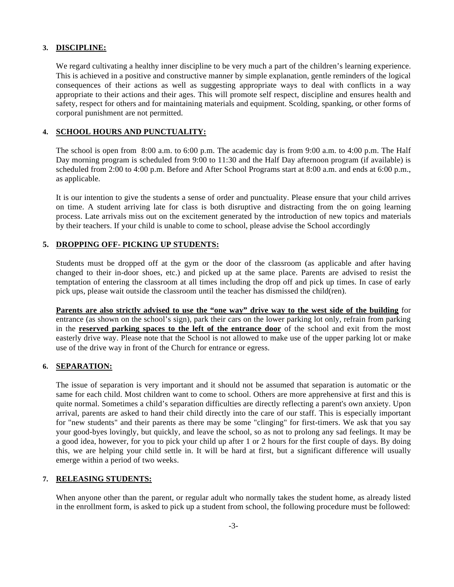#### **3. DISCIPLINE:**

We regard cultivating a healthy inner discipline to be very much a part of the children's learning experience. This is achieved in a positive and constructive manner by simple explanation, gentle reminders of the logical consequences of their actions as well as suggesting appropriate ways to deal with conflicts in a way appropriate to their actions and their ages. This will promote self respect, discipline and ensures health and safety, respect for others and for maintaining materials and equipment. Scolding, spanking, or other forms of corporal punishment are not permitted.

## **4. SCHOOL HOURS AND PUNCTUALITY:**

 The school is open from 8:00 a.m. to 6:00 p.m. The academic day is from 9:00 a.m. to 4:00 p.m. The Half Day morning program is scheduled from 9:00 to 11:30 and the Half Day afternoon program (if available) is scheduled from 2:00 to 4:00 p.m. Before and After School Programs start at 8:00 a.m. and ends at 6:00 p.m., as applicable.

It is our intention to give the students a sense of order and punctuality. Please ensure that your child arrives on time. A student arriving late for class is both disruptive and distracting from the on going learning process. Late arrivals miss out on the excitement generated by the introduction of new topics and materials by their teachers. If your child is unable to come to school, please advise the School accordingly

## **5. DROPPING OFF- PICKING UP STUDENTS:**

 Students must be dropped off at the gym or the door of the classroom (as applicable and after having changed to their in-door shoes, etc.) and picked up at the same place. Parents are advised to resist the temptation of entering the classroom at all times including the drop off and pick up times. In case of early pick ups, please wait outside the classroom until the teacher has dismissed the child(ren).

**Parents are also strictly advised to use the "one way" drive way to the west side of the building** for entrance (as shown on the school's sign), park their cars on the lower parking lot only, refrain from parking in the **reserved parking spaces to the left of the entrance door** of the school and exit from the most easterly drive way. Please note that the School is not allowed to make use of the upper parking lot or make use of the drive way in front of the Church for entrance or egress.

## **6. SEPARATION:**

The issue of separation is very important and it should not be assumed that separation is automatic or the same for each child. Most children want to come to school. Others are more apprehensive at first and this is quite normal. Sometimes a child's separation difficulties are directly reflecting a parent's own anxiety. Upon arrival, parents are asked to hand their child directly into the care of our staff. This is especially important for "new students" and their parents as there may be some "clinging" for first-timers. We ask that you say your good-byes lovingly, but quickly, and leave the school, so as not to prolong any sad feelings. It may be a good idea, however, for you to pick your child up after 1 or 2 hours for the first couple of days. By doing this, we are helping your child settle in. It will be hard at first, but a significant difference will usually emerge within a period of two weeks.

## **7. RELEASING STUDENTS:**

When anyone other than the parent, or regular adult who normally takes the student home, as already listed in the enrollment form, is asked to pick up a student from school, the following procedure must be followed: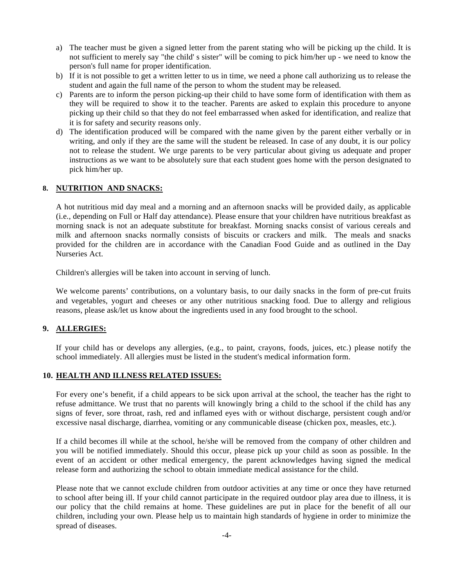- a) The teacher must be given a signed letter from the parent stating who will be picking up the child. It is not sufficient to merely say "the child' s sister" will be coming to pick him/her up - we need to know the person's full name for proper identification.
- b) If it is not possible to get a written letter to us in time, we need a phone call authorizing us to release the student and again the full name of the person to whom the student may be released.
- c) Parents are to inform the person picking-up their child to have some form of identification with them as they will be required to show it to the teacher. Parents are asked to explain this procedure to anyone picking up their child so that they do not feel embarrassed when asked for identification, and realize that it is for safety and security reasons only.
- d) The identification produced will be compared with the name given by the parent either verbally or in writing, and only if they are the same will the student be released. In case of any doubt, it is our policy not to release the student. We urge parents to be very particular about giving us adequate and proper instructions as we want to be absolutely sure that each student goes home with the person designated to pick him/her up.

## **8. NUTRITION AND SNACKS:**

A hot nutritious mid day meal and a morning and an afternoon snacks will be provided daily, as applicable (i.e., depending on Full or Half day attendance). Please ensure that your children have nutritious breakfast as morning snack is not an adequate substitute for breakfast. Morning snacks consist of various cereals and milk and afternoon snacks normally consists of biscuits or crackers and milk. The meals and snacks provided for the children are in accordance with the Canadian Food Guide and as outlined in the Day Nurseries Act.

Children's allergies will be taken into account in serving of lunch.

We welcome parents' contributions, on a voluntary basis, to our daily snacks in the form of pre-cut fruits and vegetables, yogurt and cheeses or any other nutritious snacking food. Due to allergy and religious reasons, please ask/let us know about the ingredients used in any food brought to the school.

## **9. ALLERGIES:**

If your child has or develops any allergies, (e.g., to paint, crayons, foods, juices, etc.) please notify the school immediately. All allergies must be listed in the student's medical information form.

#### **10. HEALTH AND ILLNESS RELATED ISSUES:**

For every one's benefit, if a child appears to be sick upon arrival at the school, the teacher has the right to refuse admittance. We trust that no parents will knowingly bring a child to the school if the child has any signs of fever, sore throat, rash, red and inflamed eyes with or without discharge, persistent cough and/or excessive nasal discharge, diarrhea, vomiting or any communicable disease (chicken pox, measles, etc.).

If a child becomes ill while at the school, he/she will be removed from the company of other children and you will be notified immediately. Should this occur, please pick up your child as soon as possible. In the event of an accident or other medical emergency, the parent acknowledges having signed the medical release form and authorizing the school to obtain immediate medical assistance for the child.

 Please note that we cannot exclude children from outdoor activities at any time or once they have returned to school after being ill. If your child cannot participate in the required outdoor play area due to illness, it is our policy that the child remains at home. These guidelines are put in place for the benefit of all our children, including your own. Please help us to maintain high standards of hygiene in order to minimize the spread of diseases.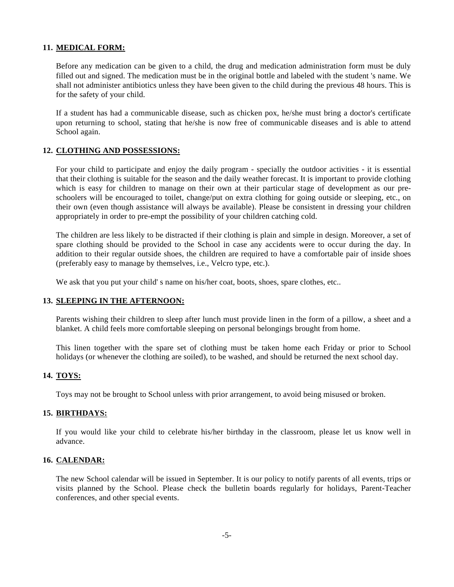#### **11. MEDICAL FORM:**

Before any medication can be given to a child, the drug and medication administration form must be duly filled out and signed. The medication must be in the original bottle and labeled with the student 's name. We shall not administer antibiotics unless they have been given to the child during the previous 48 hours. This is for the safety of your child.

If a student has had a communicable disease, such as chicken pox, he/she must bring a doctor's certificate upon returning to school, stating that he/she is now free of communicable diseases and is able to attend School again.

### **12. CLOTHING AND POSSESSIONS:**

For your child to participate and enjoy the daily program - specially the outdoor activities - it is essential that their clothing is suitable for the season and the daily weather forecast. It is important to provide clothing which is easy for children to manage on their own at their particular stage of development as our preschoolers will be encouraged to toilet, change/put on extra clothing for going outside or sleeping, etc., on their own (even though assistance will always be available). Please be consistent in dressing your children appropriately in order to pre-empt the possibility of your children catching cold.

The children are less likely to be distracted if their clothing is plain and simple in design. Moreover, a set of spare clothing should be provided to the School in case any accidents were to occur during the day. In addition to their regular outside shoes, the children are required to have a comfortable pair of inside shoes (preferably easy to manage by themselves, i.e., Velcro type, etc.).

We ask that you put your child' s name on his/her coat, boots, shoes, spare clothes, etc...

#### **13. SLEEPING IN THE AFTERNOON:**

Parents wishing their children to sleep after lunch must provide linen in the form of a pillow, a sheet and a blanket. A child feels more comfortable sleeping on personal belongings brought from home.

This linen together with the spare set of clothing must be taken home each Friday or prior to School holidays (or whenever the clothing are soiled), to be washed, and should be returned the next school day.

#### **14. TOYS:**

Toys may not be brought to School unless with prior arrangement, to avoid being misused or broken.

#### **15. BIRTHDAYS:**

If you would like your child to celebrate his/her birthday in the classroom, please let us know well in advance.

#### **16. CALENDAR:**

The new School calendar will be issued in September. It is our policy to notify parents of all events, trips or visits planned by the School. Please check the bulletin boards regularly for holidays, Parent-Teacher conferences, and other special events.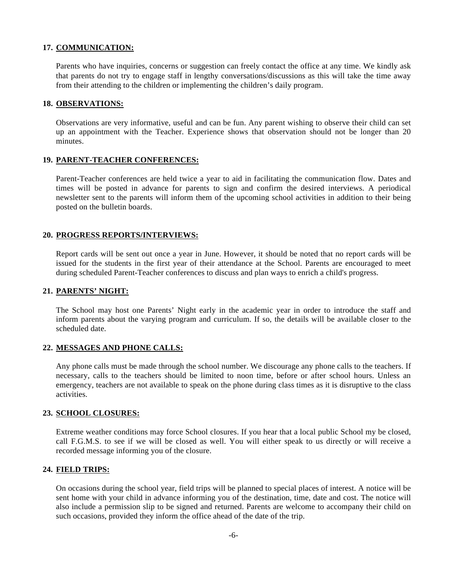#### **17. COMMUNICATION:**

Parents who have inquiries, concerns or suggestion can freely contact the office at any time. We kindly ask that parents do not try to engage staff in lengthy conversations/discussions as this will take the time away from their attending to the children or implementing the children's daily program.

#### **18. OBSERVATIONS:**

Observations are very informative, useful and can be fun. Any parent wishing to observe their child can set up an appointment with the Teacher. Experience shows that observation should not be longer than 20 minutes.

## **19. PARENT-TEACHER CONFERENCES:**

Parent-Teacher conferences are held twice a year to aid in facilitating the communication flow. Dates and times will be posted in advance for parents to sign and confirm the desired interviews. A periodical newsletter sent to the parents will inform them of the upcoming school activities in addition to their being posted on the bulletin boards.

#### **20. PROGRESS REPORTS/INTERVIEWS:**

Report cards will be sent out once a year in June. However, it should be noted that no report cards will be issued for the students in the first year of their attendance at the School. Parents are encouraged to meet during scheduled Parent-Teacher conferences to discuss and plan ways to enrich a child's progress.

#### **21. PARENTS' NIGHT:**

The School may host one Parents' Night early in the academic year in order to introduce the staff and inform parents about the varying program and curriculum. If so, the details will be available closer to the scheduled date.

### **22. MESSAGES AND PHONE CALLS:**

Any phone calls must be made through the school number. We discourage any phone calls to the teachers. If necessary, calls to the teachers should be limited to noon time, before or after school hours. Unless an emergency, teachers are not available to speak on the phone during class times as it is disruptive to the class activities.

#### **23. SCHOOL CLOSURES:**

Extreme weather conditions may force School closures. If you hear that a local public School my be closed, call F.G.M.S. to see if we will be closed as well. You will either speak to us directly or will receive a recorded message informing you of the closure.

#### **24. FIELD TRIPS:**

On occasions during the school year, field trips will be planned to special places of interest. A notice will be sent home with your child in advance informing you of the destination, time, date and cost. The notice will also include a permission slip to be signed and returned. Parents are welcome to accompany their child on such occasions, provided they inform the office ahead of the date of the trip.